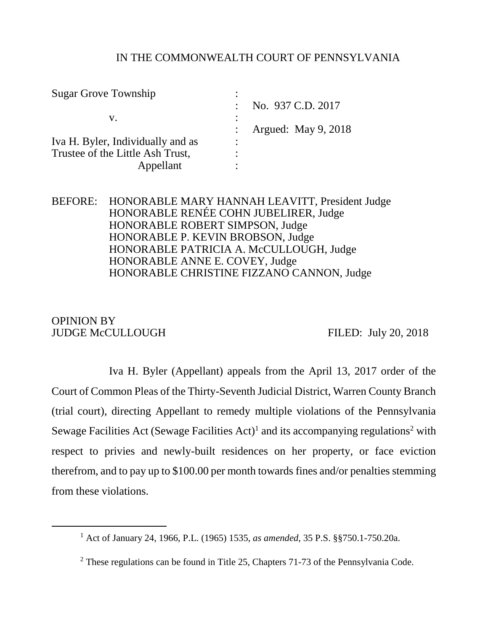## IN THE COMMONWEALTH COURT OF PENNSYLVANIA

| <b>Sugar Grove Township</b>       |   |                     |
|-----------------------------------|---|---------------------|
|                                   |   | No. 937 C.D. 2017   |
| V.                                |   |                     |
|                                   |   | Argued: May 9, 2018 |
| Iva H. Byler, Individually and as | ٠ |                     |
| Trustee of the Little Ash Trust,  |   |                     |
| Appellant                         | ٠ |                     |

# BEFORE: HONORABLE MARY HANNAH LEAVITT, President Judge HONORABLE RENÉE COHN JUBELIRER, Judge HONORABLE ROBERT SIMPSON, Judge HONORABLE P. KEVIN BROBSON, Judge HONORABLE PATRICIA A. McCULLOUGH, Judge HONORABLE ANNE E. COVEY, Judge HONORABLE CHRISTINE FIZZANO CANNON, Judge

# OPINION BY JUDGE McCULLOUGH FILED: July 20, 2018

l

Iva H. Byler (Appellant) appeals from the April 13, 2017 order of the Court of Common Pleas of the Thirty-Seventh Judicial District, Warren County Branch (trial court), directing Appellant to remedy multiple violations of the Pennsylvania Sewage Facilities Act (Sewage Facilities Act)<sup>1</sup> and its accompanying regulations<sup>2</sup> with respect to privies and newly-built residences on her property, or face eviction therefrom, and to pay up to \$100.00 per month towards fines and/or penalties stemming from these violations.

<sup>1</sup> Act of January 24, 1966, P.L. (1965) 1535, *as amended*, 35 P.S. §§750.1-750.20a.

 $2$  These regulations can be found in Title 25, Chapters 71-73 of the Pennsylvania Code.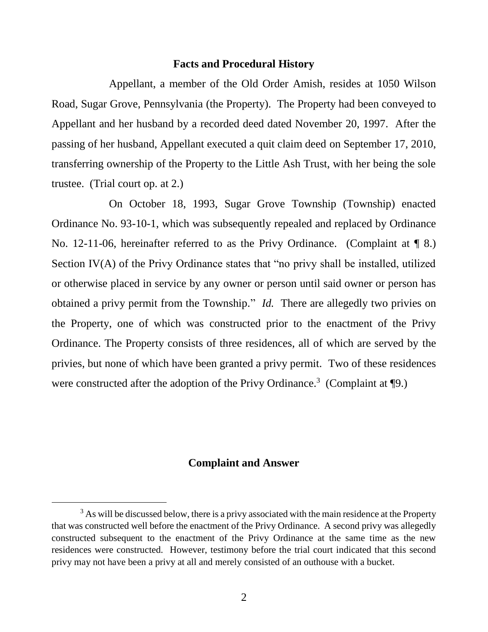#### **Facts and Procedural History**

Appellant, a member of the Old Order Amish, resides at 1050 Wilson Road, Sugar Grove, Pennsylvania (the Property). The Property had been conveyed to Appellant and her husband by a recorded deed dated November 20, 1997. After the passing of her husband, Appellant executed a quit claim deed on September 17, 2010, transferring ownership of the Property to the Little Ash Trust, with her being the sole trustee. (Trial court op. at 2.)

On October 18, 1993, Sugar Grove Township (Township) enacted Ordinance No. 93-10-1, which was subsequently repealed and replaced by Ordinance No. 12-11-06, hereinafter referred to as the Privy Ordinance. (Complaint at  $\P$  8.) Section IV(A) of the Privy Ordinance states that "no privy shall be installed, utilized or otherwise placed in service by any owner or person until said owner or person has obtained a privy permit from the Township." *Id.* There are allegedly two privies on the Property, one of which was constructed prior to the enactment of the Privy Ordinance. The Property consists of three residences, all of which are served by the privies, but none of which have been granted a privy permit. Two of these residences were constructed after the adoption of the Privy Ordinance.<sup>3</sup> (Complaint at  $\P$ 9.)

### **Complaint and Answer**

<sup>&</sup>lt;sup>3</sup> As will be discussed below, there is a privy associated with the main residence at the Property that was constructed well before the enactment of the Privy Ordinance. A second privy was allegedly constructed subsequent to the enactment of the Privy Ordinance at the same time as the new residences were constructed. However, testimony before the trial court indicated that this second privy may not have been a privy at all and merely consisted of an outhouse with a bucket.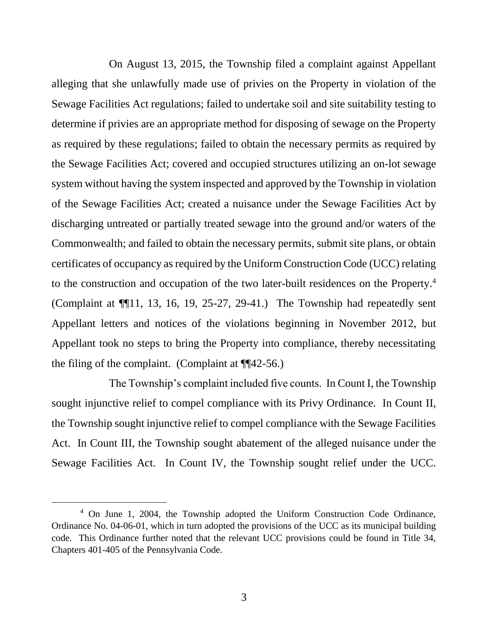On August 13, 2015, the Township filed a complaint against Appellant alleging that she unlawfully made use of privies on the Property in violation of the Sewage Facilities Act regulations; failed to undertake soil and site suitability testing to determine if privies are an appropriate method for disposing of sewage on the Property as required by these regulations; failed to obtain the necessary permits as required by the Sewage Facilities Act; covered and occupied structures utilizing an on-lot sewage system without having the system inspected and approved by the Township in violation of the Sewage Facilities Act; created a nuisance under the Sewage Facilities Act by discharging untreated or partially treated sewage into the ground and/or waters of the Commonwealth; and failed to obtain the necessary permits, submit site plans, or obtain certificates of occupancy as required by the Uniform Construction Code (UCC) relating to the construction and occupation of the two later-built residences on the Property. 4 (Complaint at ¶¶11, 13, 16, 19, 25-27, 29-41.) The Township had repeatedly sent Appellant letters and notices of the violations beginning in November 2012, but Appellant took no steps to bring the Property into compliance, thereby necessitating the filing of the complaint. (Complaint at  $\P$ [42-56.)

The Township's complaint included five counts. In Count I, the Township sought injunctive relief to compel compliance with its Privy Ordinance. In Count II, the Township sought injunctive relief to compel compliance with the Sewage Facilities Act. In Count III, the Township sought abatement of the alleged nuisance under the Sewage Facilities Act. In Count IV, the Township sought relief under the UCC.

<sup>4</sup> On June 1, 2004, the Township adopted the Uniform Construction Code Ordinance, Ordinance No. 04-06-01, which in turn adopted the provisions of the UCC as its municipal building code. This Ordinance further noted that the relevant UCC provisions could be found in Title 34, Chapters 401-405 of the Pennsylvania Code.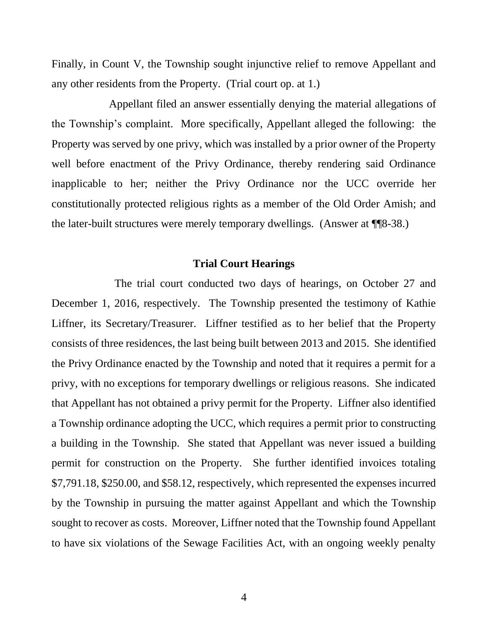Finally, in Count V, the Township sought injunctive relief to remove Appellant and any other residents from the Property. (Trial court op. at 1.)

Appellant filed an answer essentially denying the material allegations of the Township's complaint. More specifically, Appellant alleged the following: the Property was served by one privy, which was installed by a prior owner of the Property well before enactment of the Privy Ordinance, thereby rendering said Ordinance inapplicable to her; neither the Privy Ordinance nor the UCC override her constitutionally protected religious rights as a member of the Old Order Amish; and the later-built structures were merely temporary dwellings. (Answer at ¶¶8-38.)

### **Trial Court Hearings**

 The trial court conducted two days of hearings, on October 27 and December 1, 2016, respectively. The Township presented the testimony of Kathie Liffner, its Secretary/Treasurer. Liffner testified as to her belief that the Property consists of three residences, the last being built between 2013 and 2015. She identified the Privy Ordinance enacted by the Township and noted that it requires a permit for a privy, with no exceptions for temporary dwellings or religious reasons. She indicated that Appellant has not obtained a privy permit for the Property. Liffner also identified a Township ordinance adopting the UCC, which requires a permit prior to constructing a building in the Township. She stated that Appellant was never issued a building permit for construction on the Property. She further identified invoices totaling \$7,791.18, \$250.00, and \$58.12, respectively, which represented the expenses incurred by the Township in pursuing the matter against Appellant and which the Township sought to recover as costs. Moreover, Liffner noted that the Township found Appellant to have six violations of the Sewage Facilities Act, with an ongoing weekly penalty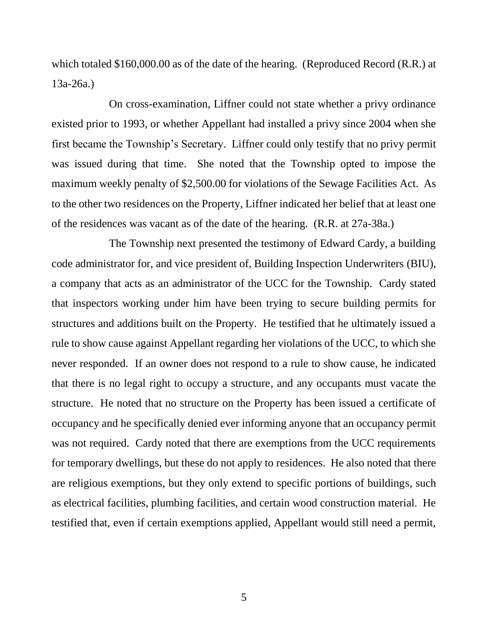which totaled \$160,000.00 as of the date of the hearing. (Reproduced Record (R.R.) at 13a-26a.)

On cross-examination, Liffner could not state whether a privy ordinance existed prior to 1993, or whether Appellant had installed a privy since 2004 when she first became the Township's Secretary. Liffner could only testify that no privy permit was issued during that time. She noted that the Township opted to impose the maximum weekly penalty of \$2,500.00 for violations of the Sewage Facilities Act. As to the other two residences on the Property, Liffner indicated her belief that at least one of the residences was vacant as of the date of the hearing. (R.R. at 27a-38a.)

The Township next presented the testimony of Edward Cardy, a building code administrator for, and vice president of, Building Inspection Underwriters (BIU), a company that acts as an administrator of the UCC for the Township. Cardy stated that inspectors working under him have been trying to secure building permits for structures and additions built on the Property. He testified that he ultimately issued a rule to show cause against Appellant regarding her violations of the UCC, to which she never responded. If an owner does not respond to a rule to show cause, he indicated that there is no legal right to occupy a structure, and any occupants must vacate the structure. He noted that no structure on the Property has been issued a certificate of occupancy and he specifically denied ever informing anyone that an occupancy permit was not required. Cardy noted that there are exemptions from the UCC requirements for temporary dwellings, but these do not apply to residences. He also noted that there are religious exemptions, but they only extend to specific portions of buildings, such as electrical facilities, plumbing facilities, and certain wood construction material. He testified that, even if certain exemptions applied, Appellant would still need a permit,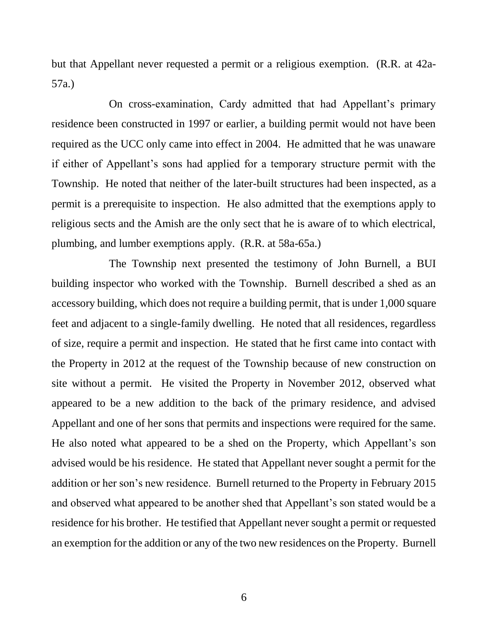but that Appellant never requested a permit or a religious exemption. (R.R. at 42a-57a.)

On cross-examination, Cardy admitted that had Appellant's primary residence been constructed in 1997 or earlier, a building permit would not have been required as the UCC only came into effect in 2004. He admitted that he was unaware if either of Appellant's sons had applied for a temporary structure permit with the Township. He noted that neither of the later-built structures had been inspected, as a permit is a prerequisite to inspection. He also admitted that the exemptions apply to religious sects and the Amish are the only sect that he is aware of to which electrical, plumbing, and lumber exemptions apply. (R.R. at 58a-65a.)

The Township next presented the testimony of John Burnell, a BUI building inspector who worked with the Township. Burnell described a shed as an accessory building, which does not require a building permit, that is under 1,000 square feet and adjacent to a single-family dwelling. He noted that all residences, regardless of size, require a permit and inspection. He stated that he first came into contact with the Property in 2012 at the request of the Township because of new construction on site without a permit. He visited the Property in November 2012, observed what appeared to be a new addition to the back of the primary residence, and advised Appellant and one of her sons that permits and inspections were required for the same. He also noted what appeared to be a shed on the Property, which Appellant's son advised would be his residence. He stated that Appellant never sought a permit for the addition or her son's new residence. Burnell returned to the Property in February 2015 and observed what appeared to be another shed that Appellant's son stated would be a residence for his brother. He testified that Appellant never sought a permit or requested an exemption for the addition or any of the two new residences on the Property. Burnell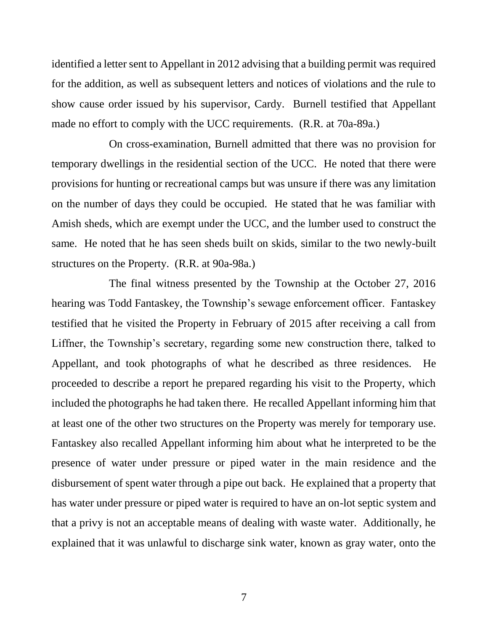identified a letter sent to Appellant in 2012 advising that a building permit was required for the addition, as well as subsequent letters and notices of violations and the rule to show cause order issued by his supervisor, Cardy. Burnell testified that Appellant made no effort to comply with the UCC requirements. (R.R. at 70a-89a.)

On cross-examination, Burnell admitted that there was no provision for temporary dwellings in the residential section of the UCC. He noted that there were provisions for hunting or recreational camps but was unsure if there was any limitation on the number of days they could be occupied. He stated that he was familiar with Amish sheds, which are exempt under the UCC, and the lumber used to construct the same. He noted that he has seen sheds built on skids, similar to the two newly-built structures on the Property. (R.R. at 90a-98a.)

The final witness presented by the Township at the October 27, 2016 hearing was Todd Fantaskey, the Township's sewage enforcement officer. Fantaskey testified that he visited the Property in February of 2015 after receiving a call from Liffner, the Township's secretary, regarding some new construction there, talked to Appellant, and took photographs of what he described as three residences. He proceeded to describe a report he prepared regarding his visit to the Property, which included the photographs he had taken there. He recalled Appellant informing him that at least one of the other two structures on the Property was merely for temporary use. Fantaskey also recalled Appellant informing him about what he interpreted to be the presence of water under pressure or piped water in the main residence and the disbursement of spent water through a pipe out back. He explained that a property that has water under pressure or piped water is required to have an on-lot septic system and that a privy is not an acceptable means of dealing with waste water. Additionally, he explained that it was unlawful to discharge sink water, known as gray water, onto the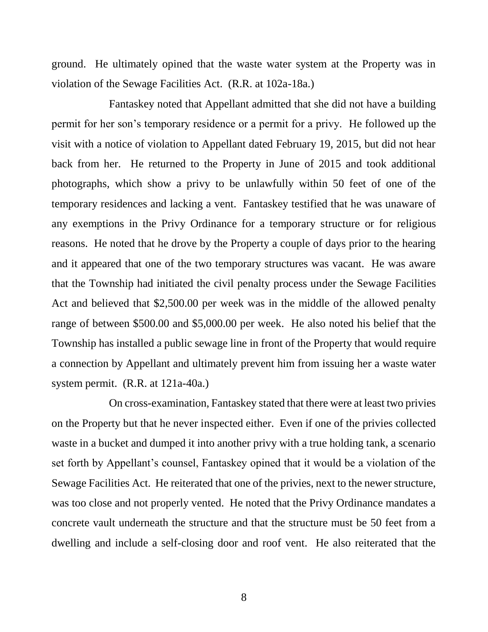ground. He ultimately opined that the waste water system at the Property was in violation of the Sewage Facilities Act. (R.R. at 102a-18a.)

Fantaskey noted that Appellant admitted that she did not have a building permit for her son's temporary residence or a permit for a privy. He followed up the visit with a notice of violation to Appellant dated February 19, 2015, but did not hear back from her. He returned to the Property in June of 2015 and took additional photographs, which show a privy to be unlawfully within 50 feet of one of the temporary residences and lacking a vent. Fantaskey testified that he was unaware of any exemptions in the Privy Ordinance for a temporary structure or for religious reasons. He noted that he drove by the Property a couple of days prior to the hearing and it appeared that one of the two temporary structures was vacant. He was aware that the Township had initiated the civil penalty process under the Sewage Facilities Act and believed that \$2,500.00 per week was in the middle of the allowed penalty range of between \$500.00 and \$5,000.00 per week. He also noted his belief that the Township has installed a public sewage line in front of the Property that would require a connection by Appellant and ultimately prevent him from issuing her a waste water system permit. (R.R. at 121a-40a.)

On cross-examination, Fantaskey stated that there were at least two privies on the Property but that he never inspected either. Even if one of the privies collected waste in a bucket and dumped it into another privy with a true holding tank, a scenario set forth by Appellant's counsel, Fantaskey opined that it would be a violation of the Sewage Facilities Act. He reiterated that one of the privies, next to the newer structure, was too close and not properly vented. He noted that the Privy Ordinance mandates a concrete vault underneath the structure and that the structure must be 50 feet from a dwelling and include a self-closing door and roof vent. He also reiterated that the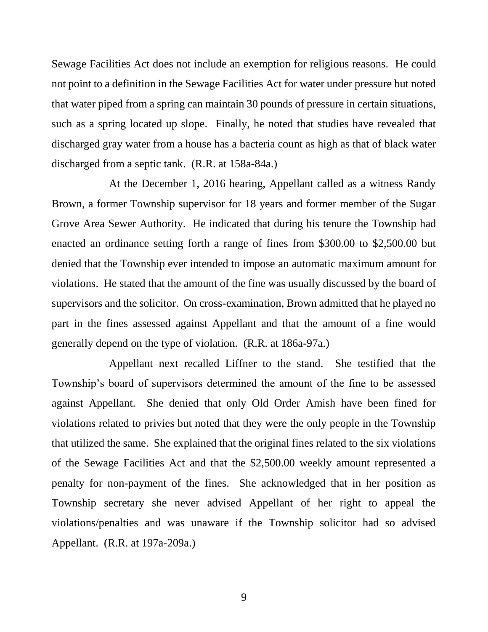Sewage Facilities Act does not include an exemption for religious reasons. He could not point to a definition in the Sewage Facilities Act for water under pressure but noted that water piped from a spring can maintain 30 pounds of pressure in certain situations, such as a spring located up slope. Finally, he noted that studies have revealed that discharged gray water from a house has a bacteria count as high as that of black water discharged from a septic tank. (R.R. at 158a-84a.)

At the December 1, 2016 hearing, Appellant called as a witness Randy Brown, a former Township supervisor for 18 years and former member of the Sugar Grove Area Sewer Authority. He indicated that during his tenure the Township had enacted an ordinance setting forth a range of fines from \$300.00 to \$2,500.00 but denied that the Township ever intended to impose an automatic maximum amount for violations. He stated that the amount of the fine was usually discussed by the board of supervisors and the solicitor. On cross-examination, Brown admitted that he played no part in the fines assessed against Appellant and that the amount of a fine would generally depend on the type of violation. (R.R. at 186a-97a.)

Appellant next recalled Liffner to the stand. She testified that the Township's board of supervisors determined the amount of the fine to be assessed against Appellant. She denied that only Old Order Amish have been fined for violations related to privies but noted that they were the only people in the Township that utilized the same. She explained that the original fines related to the six violations of the Sewage Facilities Act and that the \$2,500.00 weekly amount represented a penalty for non-payment of the fines. She acknowledged that in her position as Township secretary she never advised Appellant of her right to appeal the violations/penalties and was unaware if the Township solicitor had so advised Appellant. (R.R. at 197a-209a.)

9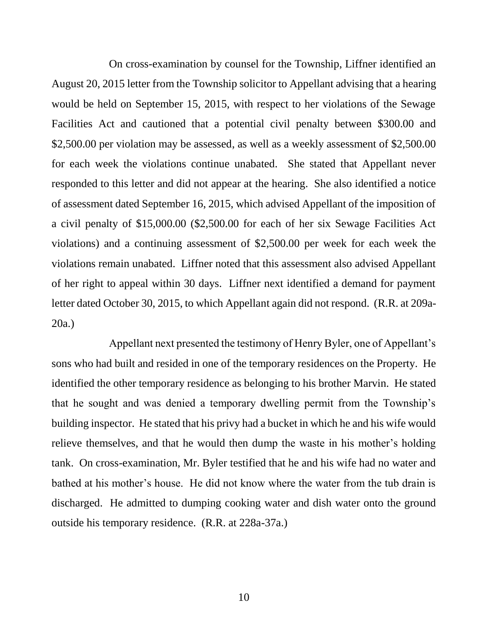On cross-examination by counsel for the Township, Liffner identified an August 20, 2015 letter from the Township solicitor to Appellant advising that a hearing would be held on September 15, 2015, with respect to her violations of the Sewage Facilities Act and cautioned that a potential civil penalty between \$300.00 and \$2,500.00 per violation may be assessed, as well as a weekly assessment of \$2,500.00 for each week the violations continue unabated. She stated that Appellant never responded to this letter and did not appear at the hearing. She also identified a notice of assessment dated September 16, 2015, which advised Appellant of the imposition of a civil penalty of \$15,000.00 (\$2,500.00 for each of her six Sewage Facilities Act violations) and a continuing assessment of \$2,500.00 per week for each week the violations remain unabated. Liffner noted that this assessment also advised Appellant of her right to appeal within 30 days. Liffner next identified a demand for payment letter dated October 30, 2015, to which Appellant again did not respond. (R.R. at 209a-20a.)

Appellant next presented the testimony of Henry Byler, one of Appellant's sons who had built and resided in one of the temporary residences on the Property. He identified the other temporary residence as belonging to his brother Marvin. He stated that he sought and was denied a temporary dwelling permit from the Township's building inspector. He stated that his privy had a bucket in which he and his wife would relieve themselves, and that he would then dump the waste in his mother's holding tank. On cross-examination, Mr. Byler testified that he and his wife had no water and bathed at his mother's house. He did not know where the water from the tub drain is discharged. He admitted to dumping cooking water and dish water onto the ground outside his temporary residence. (R.R. at 228a-37a.)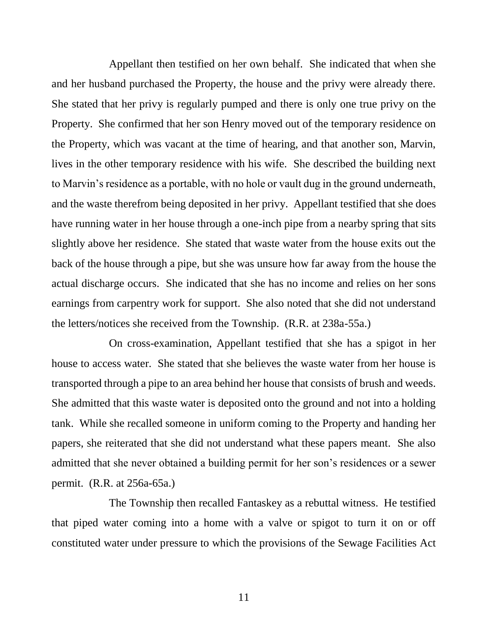Appellant then testified on her own behalf. She indicated that when she and her husband purchased the Property, the house and the privy were already there. She stated that her privy is regularly pumped and there is only one true privy on the Property. She confirmed that her son Henry moved out of the temporary residence on the Property, which was vacant at the time of hearing, and that another son, Marvin, lives in the other temporary residence with his wife. She described the building next to Marvin's residence as a portable, with no hole or vault dug in the ground underneath, and the waste therefrom being deposited in her privy. Appellant testified that she does have running water in her house through a one-inch pipe from a nearby spring that sits slightly above her residence. She stated that waste water from the house exits out the back of the house through a pipe, but she was unsure how far away from the house the actual discharge occurs. She indicated that she has no income and relies on her sons earnings from carpentry work for support. She also noted that she did not understand the letters/notices she received from the Township. (R.R. at 238a-55a.)

On cross-examination, Appellant testified that she has a spigot in her house to access water. She stated that she believes the waste water from her house is transported through a pipe to an area behind her house that consists of brush and weeds. She admitted that this waste water is deposited onto the ground and not into a holding tank. While she recalled someone in uniform coming to the Property and handing her papers, she reiterated that she did not understand what these papers meant. She also admitted that she never obtained a building permit for her son's residences or a sewer permit. (R.R. at 256a-65a.)

The Township then recalled Fantaskey as a rebuttal witness. He testified that piped water coming into a home with a valve or spigot to turn it on or off constituted water under pressure to which the provisions of the Sewage Facilities Act

11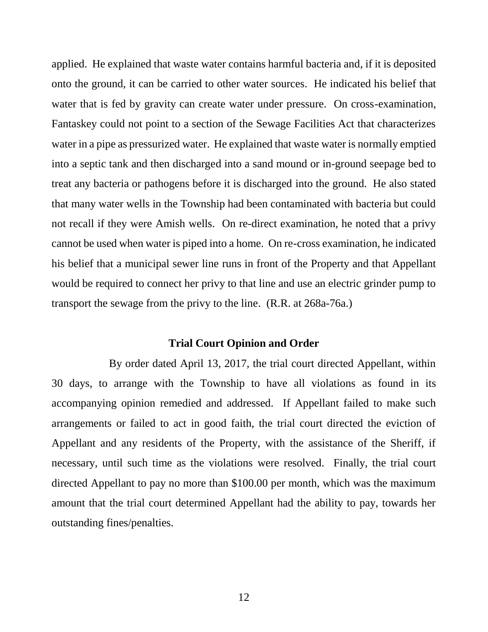applied. He explained that waste water contains harmful bacteria and, if it is deposited onto the ground, it can be carried to other water sources. He indicated his belief that water that is fed by gravity can create water under pressure. On cross-examination, Fantaskey could not point to a section of the Sewage Facilities Act that characterizes water in a pipe as pressurized water. He explained that waste water is normally emptied into a septic tank and then discharged into a sand mound or in-ground seepage bed to treat any bacteria or pathogens before it is discharged into the ground. He also stated that many water wells in the Township had been contaminated with bacteria but could not recall if they were Amish wells. On re-direct examination, he noted that a privy cannot be used when water is piped into a home. On re-cross examination, he indicated his belief that a municipal sewer line runs in front of the Property and that Appellant would be required to connect her privy to that line and use an electric grinder pump to transport the sewage from the privy to the line. (R.R. at 268a-76a.)

# **Trial Court Opinion and Order**

By order dated April 13, 2017, the trial court directed Appellant, within 30 days, to arrange with the Township to have all violations as found in its accompanying opinion remedied and addressed. If Appellant failed to make such arrangements or failed to act in good faith, the trial court directed the eviction of Appellant and any residents of the Property, with the assistance of the Sheriff, if necessary, until such time as the violations were resolved. Finally, the trial court directed Appellant to pay no more than \$100.00 per month, which was the maximum amount that the trial court determined Appellant had the ability to pay, towards her outstanding fines/penalties.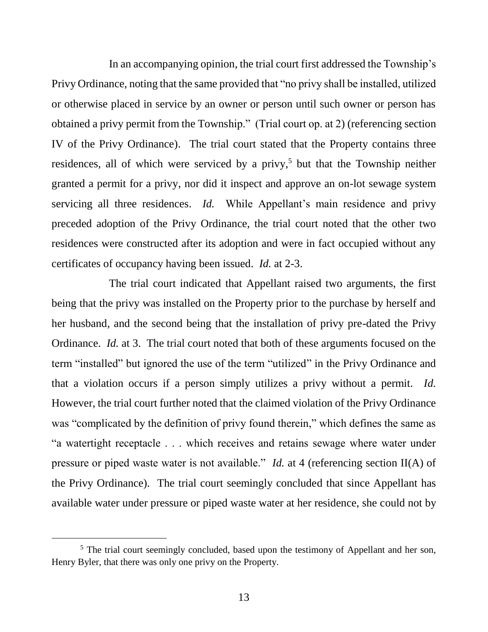In an accompanying opinion, the trial court first addressed the Township's Privy Ordinance, noting that the same provided that "no privy shall be installed, utilized or otherwise placed in service by an owner or person until such owner or person has obtained a privy permit from the Township." (Trial court op. at 2) (referencing section IV of the Privy Ordinance). The trial court stated that the Property contains three residences, all of which were serviced by a privy, <sup>5</sup> but that the Township neither granted a permit for a privy, nor did it inspect and approve an on-lot sewage system servicing all three residences. *Id.* While Appellant's main residence and privy preceded adoption of the Privy Ordinance, the trial court noted that the other two residences were constructed after its adoption and were in fact occupied without any certificates of occupancy having been issued. *Id.* at 2-3.

The trial court indicated that Appellant raised two arguments, the first being that the privy was installed on the Property prior to the purchase by herself and her husband, and the second being that the installation of privy pre-dated the Privy Ordinance. *Id.* at 3. The trial court noted that both of these arguments focused on the term "installed" but ignored the use of the term "utilized" in the Privy Ordinance and that a violation occurs if a person simply utilizes a privy without a permit. *Id.* However, the trial court further noted that the claimed violation of the Privy Ordinance was "complicated by the definition of privy found therein," which defines the same as "a watertight receptacle . . . which receives and retains sewage where water under pressure or piped waste water is not available." *Id.* at 4 (referencing section II(A) of the Privy Ordinance). The trial court seemingly concluded that since Appellant has available water under pressure or piped waste water at her residence, she could not by

<sup>&</sup>lt;sup>5</sup> The trial court seemingly concluded, based upon the testimony of Appellant and her son, Henry Byler, that there was only one privy on the Property.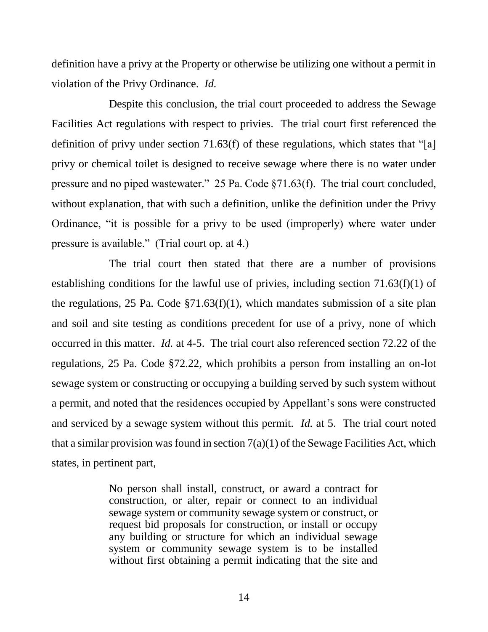definition have a privy at the Property or otherwise be utilizing one without a permit in violation of the Privy Ordinance. *Id.*

Despite this conclusion, the trial court proceeded to address the Sewage Facilities Act regulations with respect to privies. The trial court first referenced the definition of privy under section 71.63(f) of these regulations, which states that "[a] privy or chemical toilet is designed to receive sewage where there is no water under pressure and no piped wastewater." 25 Pa. Code §71.63(f). The trial court concluded, without explanation, that with such a definition, unlike the definition under the Privy Ordinance, "it is possible for a privy to be used (improperly) where water under pressure is available." (Trial court op. at 4.)

The trial court then stated that there are a number of provisions establishing conditions for the lawful use of privies, including section 71.63(f)(1) of the regulations, 25 Pa. Code §71.63(f)(1), which mandates submission of a site plan and soil and site testing as conditions precedent for use of a privy, none of which occurred in this matter. *Id.* at 4-5. The trial court also referenced section 72.22 of the regulations, 25 Pa. Code §72.22, which prohibits a person from installing an on-lot sewage system or constructing or occupying a building served by such system without a permit, and noted that the residences occupied by Appellant's sons were constructed and serviced by a sewage system without this permit. *Id.* at 5. The trial court noted that a similar provision was found in section  $7(a)(1)$  of the Sewage Facilities Act, which states, in pertinent part,

> No person shall install, construct, or award a contract for construction, or alter, repair or connect to an individual sewage system or community sewage system or construct, or request bid proposals for construction, or install or occupy any building or structure for which an individual sewage system or community sewage system is to be installed without first obtaining a permit indicating that the site and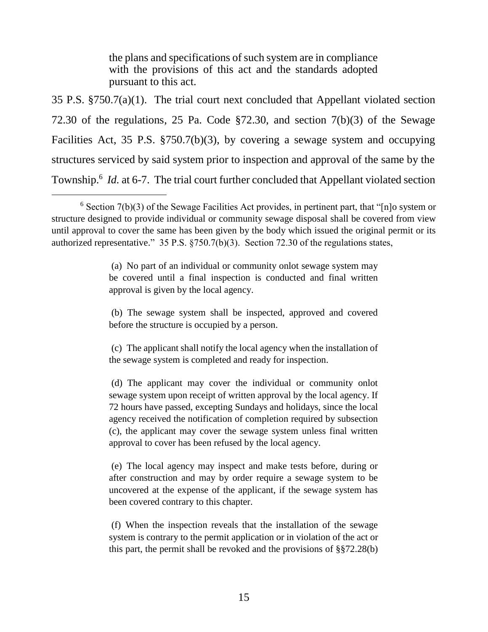the plans and specifications of such system are in compliance with the provisions of this act and the standards adopted pursuant to this act.

35 P.S. §750.7(a)(1). The trial court next concluded that Appellant violated section 72.30 of the regulations, 25 Pa. Code §72.30, and section 7(b)(3) of the Sewage Facilities Act, 35 P.S. §750.7(b)(3), by covering a sewage system and occupying structures serviced by said system prior to inspection and approval of the same by the Township.<sup>6</sup> *Id.* at 6-7. The trial court further concluded that Appellant violated section

l

(a) No part of an individual or community onlot sewage system may be covered until a final inspection is conducted and final written approval is given by the local agency.

(b) The sewage system shall be inspected, approved and covered before the structure is occupied by a person.

(c) The applicant shall notify the local agency when the installation of the sewage system is completed and ready for inspection.

(d) The applicant may cover the individual or community onlot sewage system upon receipt of written approval by the local agency. If 72 hours have passed, excepting Sundays and holidays, since the local agency received the notification of completion required by subsection (c), the applicant may cover the sewage system unless final written approval to cover has been refused by the local agency.

(e) The local agency may inspect and make tests before, during or after construction and may by order require a sewage system to be uncovered at the expense of the applicant, if the sewage system has been covered contrary to this chapter.

(f) When the inspection reveals that the installation of the sewage system is contrary to the permit application or in violation of the act or this part, the permit shall be revoked and the provisions of §§72.28(b)

 $6$  Section 7(b)(3) of the Sewage Facilities Act provides, in pertinent part, that "[n]o system or structure designed to provide individual or community sewage disposal shall be covered from view until approval to cover the same has been given by the body which issued the original permit or its authorized representative." 35 P.S. §750.7(b)(3). Section 72.30 of the regulations states,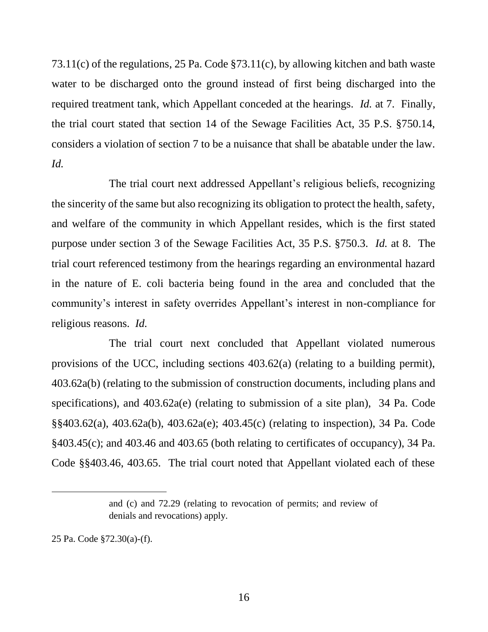73.11(c) of the regulations, 25 Pa. Code §73.11(c), by allowing kitchen and bath waste water to be discharged onto the ground instead of first being discharged into the required treatment tank, which Appellant conceded at the hearings. *Id.* at 7. Finally, the trial court stated that section 14 of the Sewage Facilities Act, 35 P.S. §750.14, considers a violation of section 7 to be a nuisance that shall be abatable under the law. *Id.*

The trial court next addressed Appellant's religious beliefs, recognizing the sincerity of the same but also recognizing its obligation to protect the health, safety, and welfare of the community in which Appellant resides, which is the first stated purpose under section 3 of the Sewage Facilities Act, 35 P.S. §750.3. *Id.* at 8. The trial court referenced testimony from the hearings regarding an environmental hazard in the nature of E. coli bacteria being found in the area and concluded that the community's interest in safety overrides Appellant's interest in non-compliance for religious reasons. *Id.*

The trial court next concluded that Appellant violated numerous provisions of the UCC, including sections 403.62(a) (relating to a building permit), 403.62a(b) (relating to the submission of construction documents, including plans and specifications), and 403.62a(e) (relating to submission of a site plan), 34 Pa. Code §§403.62(a), 403.62a(b), 403.62a(e); 403.45(c) (relating to inspection), 34 Pa. Code §403.45(c); and 403.46 and 403.65 (both relating to certificates of occupancy), 34 Pa. Code §§403.46, 403.65. The trial court noted that Appellant violated each of these

 $\overline{a}$ 

and (c) and 72.29 (relating to revocation of permits; and review of denials and revocations) apply.

<sup>25</sup> Pa. Code §72.30(a)-(f).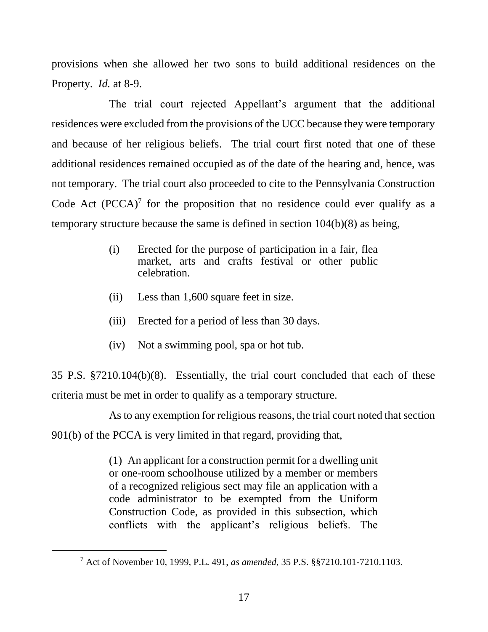provisions when she allowed her two sons to build additional residences on the Property. *Id.* at 8-9.

The trial court rejected Appellant's argument that the additional residences were excluded from the provisions of the UCC because they were temporary and because of her religious beliefs. The trial court first noted that one of these additional residences remained occupied as of the date of the hearing and, hence, was not temporary. The trial court also proceeded to cite to the Pennsylvania Construction Code Act  $(PCCA)^7$  for the proposition that no residence could ever qualify as a temporary structure because the same is defined in section 104(b)(8) as being,

- (i) Erected for the purpose of participation in a fair, flea market, arts and crafts festival or other public celebration.
- (ii) Less than 1,600 square feet in size.
- (iii) Erected for a period of less than 30 days.
- (iv) Not a swimming pool, spa or hot tub.

35 P.S. §7210.104(b)(8). Essentially, the trial court concluded that each of these criteria must be met in order to qualify as a temporary structure.

As to any exemption for religious reasons, the trial court noted that section

901(b) of the PCCA is very limited in that regard, providing that,

l

(1) An applicant for a construction permit for a dwelling unit or one-room schoolhouse utilized by a member or members of a recognized religious sect may file an application with a code administrator to be exempted from the Uniform Construction Code, as provided in this subsection, which conflicts with the applicant's religious beliefs. The

<sup>7</sup> Act of November 10, 1999, P.L. 491, *as amended*, 35 P.S. §§7210.101-7210.1103.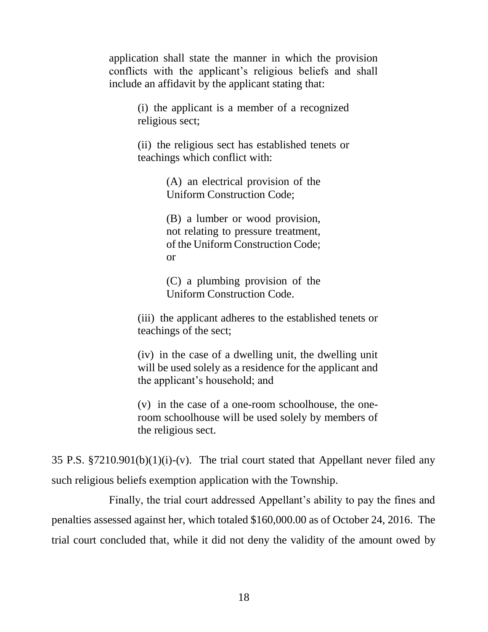application shall state the manner in which the provision conflicts with the applicant's religious beliefs and shall include an affidavit by the applicant stating that:

> (i) the applicant is a member of a recognized religious sect;

> (ii) the religious sect has established tenets or teachings which conflict with:

> > (A) an electrical provision of the Uniform Construction Code;

> > (B) a lumber or wood provision, not relating to pressure treatment, of the Uniform Construction Code; or

> > (C) a plumbing provision of the Uniform Construction Code.

(iii) the applicant adheres to the established tenets or teachings of the sect;

(iv) in the case of a dwelling unit, the dwelling unit will be used solely as a residence for the applicant and the applicant's household; and

(v) in the case of a one-room schoolhouse, the oneroom schoolhouse will be used solely by members of the religious sect.

35 P.S.  $$7210.901(b)(1)(i)-(v)$ . The trial court stated that Appellant never filed any such religious beliefs exemption application with the Township.

Finally, the trial court addressed Appellant's ability to pay the fines and penalties assessed against her, which totaled \$160,000.00 as of October 24, 2016. The trial court concluded that, while it did not deny the validity of the amount owed by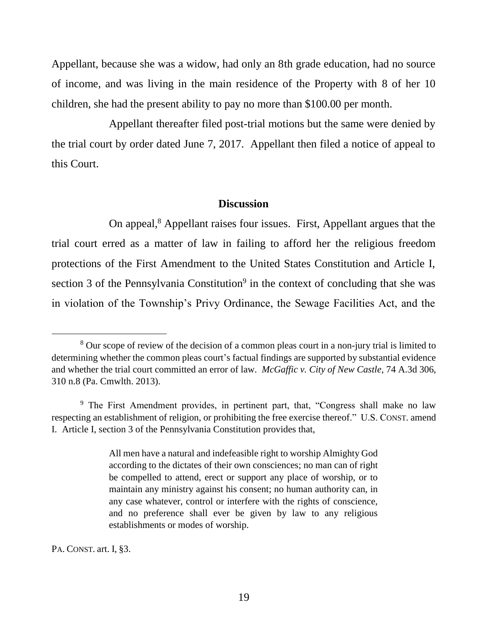Appellant, because she was a widow, had only an 8th grade education, had no source of income, and was living in the main residence of the Property with 8 of her 10 children, she had the present ability to pay no more than \$100.00 per month.

Appellant thereafter filed post-trial motions but the same were denied by the trial court by order dated June 7, 2017. Appellant then filed a notice of appeal to this Court.

## **Discussion**

On appeal,<sup>8</sup> Appellant raises four issues. First, Appellant argues that the trial court erred as a matter of law in failing to afford her the religious freedom protections of the First Amendment to the United States Constitution and Article I, section  $3$  of the Pennsylvania Constitution<sup>9</sup> in the context of concluding that she was in violation of the Township's Privy Ordinance, the Sewage Facilities Act, and the

PA. CONST. art. I, §3.

<sup>8</sup> Our scope of review of the decision of a common pleas court in a non-jury trial is limited to determining whether the common pleas court's factual findings are supported by substantial evidence and whether the trial court committed an error of law. *McGaffic v. City of New Castle*, 74 A.3d 306, 310 n.8 (Pa. Cmwlth. 2013).

<sup>&</sup>lt;sup>9</sup> The First Amendment provides, in pertinent part, that, "Congress shall make no law respecting an establishment of religion, or prohibiting the free exercise thereof." U.S. CONST. amend I. Article I, section 3 of the Pennsylvania Constitution provides that,

All men have a natural and indefeasible right to worship Almighty God according to the dictates of their own consciences; no man can of right be compelled to attend, erect or support any place of worship, or to maintain any ministry against his consent; no human authority can, in any case whatever, control or interfere with the rights of conscience, and no preference shall ever be given by law to any religious establishments or modes of worship.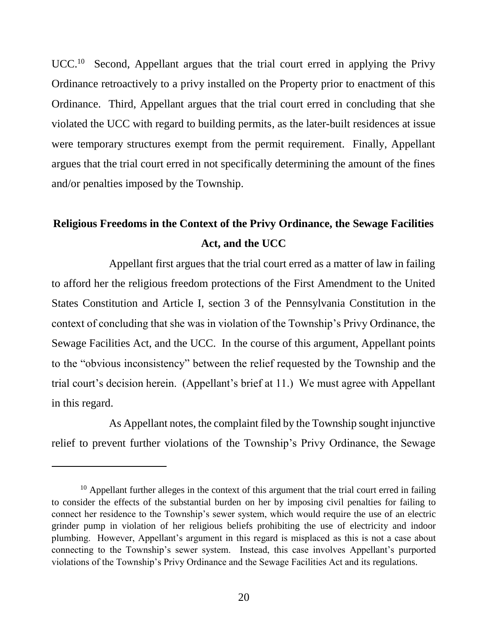UCC.<sup>10</sup> Second, Appellant argues that the trial court erred in applying the Privy Ordinance retroactively to a privy installed on the Property prior to enactment of this Ordinance. Third, Appellant argues that the trial court erred in concluding that she violated the UCC with regard to building permits, as the later-built residences at issue were temporary structures exempt from the permit requirement. Finally, Appellant argues that the trial court erred in not specifically determining the amount of the fines and/or penalties imposed by the Township.

# **Religious Freedoms in the Context of the Privy Ordinance, the Sewage Facilities Act, and the UCC**

Appellant first argues that the trial court erred as a matter of law in failing to afford her the religious freedom protections of the First Amendment to the United States Constitution and Article I, section 3 of the Pennsylvania Constitution in the context of concluding that she was in violation of the Township's Privy Ordinance, the Sewage Facilities Act, and the UCC. In the course of this argument, Appellant points to the "obvious inconsistency" between the relief requested by the Township and the trial court's decision herein. (Appellant's brief at 11.) We must agree with Appellant in this regard.

As Appellant notes, the complaint filed by the Township sought injunctive relief to prevent further violations of the Township's Privy Ordinance, the Sewage

 $10$  Appellant further alleges in the context of this argument that the trial court erred in failing to consider the effects of the substantial burden on her by imposing civil penalties for failing to connect her residence to the Township's sewer system, which would require the use of an electric grinder pump in violation of her religious beliefs prohibiting the use of electricity and indoor plumbing. However, Appellant's argument in this regard is misplaced as this is not a case about connecting to the Township's sewer system. Instead, this case involves Appellant's purported violations of the Township's Privy Ordinance and the Sewage Facilities Act and its regulations.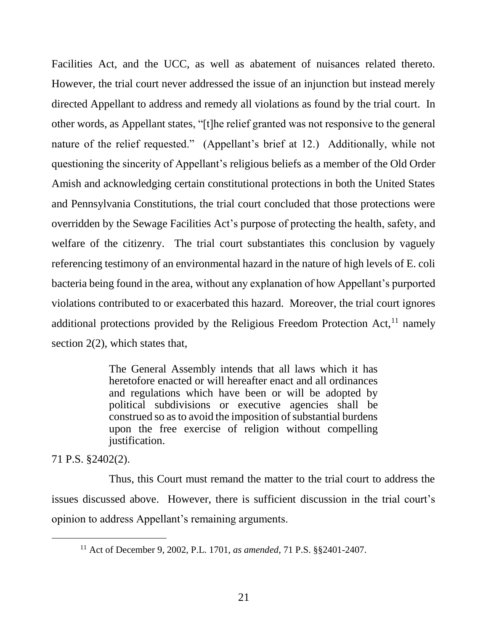Facilities Act, and the UCC, as well as abatement of nuisances related thereto. However, the trial court never addressed the issue of an injunction but instead merely directed Appellant to address and remedy all violations as found by the trial court. In other words, as Appellant states, "[t]he relief granted was not responsive to the general nature of the relief requested." (Appellant's brief at 12.) Additionally, while not questioning the sincerity of Appellant's religious beliefs as a member of the Old Order Amish and acknowledging certain constitutional protections in both the United States and Pennsylvania Constitutions, the trial court concluded that those protections were overridden by the Sewage Facilities Act's purpose of protecting the health, safety, and welfare of the citizenry. The trial court substantiates this conclusion by vaguely referencing testimony of an environmental hazard in the nature of high levels of E. coli bacteria being found in the area, without any explanation of how Appellant's purported violations contributed to or exacerbated this hazard. Moreover, the trial court ignores additional protections provided by the Religious Freedom Protection Act, $^{11}$  namely section 2(2), which states that,

> The General Assembly intends that all laws which it has heretofore enacted or will hereafter enact and all ordinances and regulations which have been or will be adopted by political subdivisions or executive agencies shall be construed so as to avoid the imposition of substantial burdens upon the free exercise of religion without compelling justification.

71 P.S. §2402(2).

l

Thus, this Court must remand the matter to the trial court to address the issues discussed above. However, there is sufficient discussion in the trial court's opinion to address Appellant's remaining arguments.

<sup>11</sup> Act of December 9, 2002, P.L. 1701, *as amended*, 71 P.S. §§2401-2407.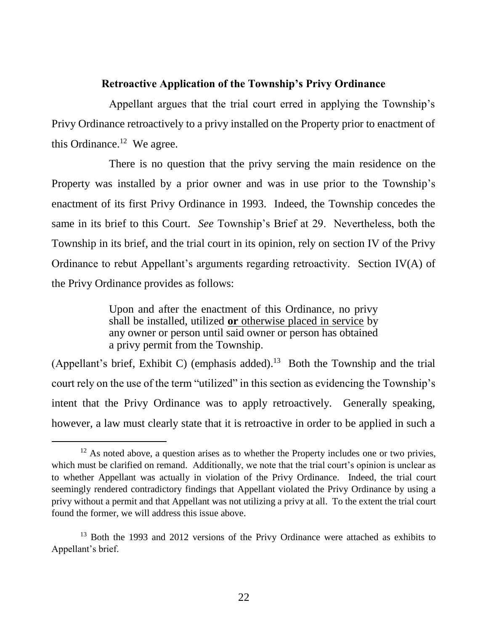# **Retroactive Application of the Township's Privy Ordinance**

Appellant argues that the trial court erred in applying the Township's Privy Ordinance retroactively to a privy installed on the Property prior to enactment of this Ordinance. $^{12}$  We agree.

There is no question that the privy serving the main residence on the Property was installed by a prior owner and was in use prior to the Township's enactment of its first Privy Ordinance in 1993. Indeed, the Township concedes the same in its brief to this Court. *See* Township's Brief at 29. Nevertheless, both the Township in its brief, and the trial court in its opinion, rely on section IV of the Privy Ordinance to rebut Appellant's arguments regarding retroactivity. Section IV(A) of the Privy Ordinance provides as follows:

> Upon and after the enactment of this Ordinance, no privy shall be installed, utilized **or** otherwise placed in service by any owner or person until said owner or person has obtained a privy permit from the Township.

(Appellant's brief, Exhibit C) (emphasis added).<sup>13</sup> Both the Township and the trial court rely on the use of the term "utilized" in this section as evidencing the Township's intent that the Privy Ordinance was to apply retroactively. Generally speaking, however, a law must clearly state that it is retroactive in order to be applied in such a

 $12$  As noted above, a question arises as to whether the Property includes one or two privies, which must be clarified on remand. Additionally, we note that the trial court's opinion is unclear as to whether Appellant was actually in violation of the Privy Ordinance. Indeed, the trial court seemingly rendered contradictory findings that Appellant violated the Privy Ordinance by using a privy without a permit and that Appellant was not utilizing a privy at all. To the extent the trial court found the former, we will address this issue above.

<sup>&</sup>lt;sup>13</sup> Both the 1993 and 2012 versions of the Privy Ordinance were attached as exhibits to Appellant's brief.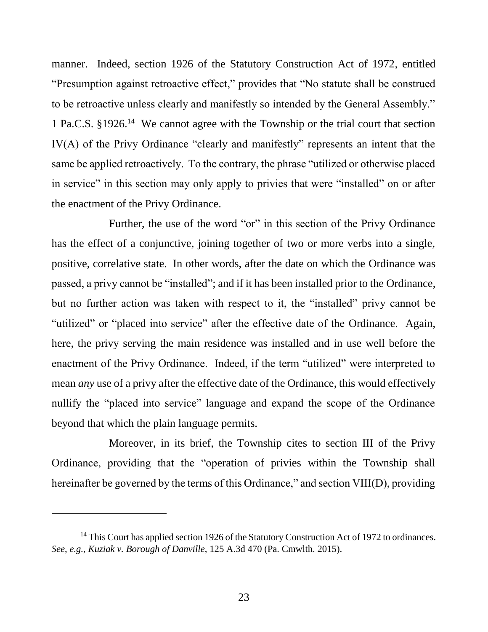manner. Indeed, section 1926 of the Statutory Construction Act of 1972, entitled "Presumption against retroactive effect," provides that "No statute shall be construed to be retroactive unless clearly and manifestly so intended by the General Assembly." 1 Pa.C.S. §1926.<sup>14</sup> We cannot agree with the Township or the trial court that section IV(A) of the Privy Ordinance "clearly and manifestly" represents an intent that the same be applied retroactively. To the contrary, the phrase "utilized or otherwise placed in service" in this section may only apply to privies that were "installed" on or after the enactment of the Privy Ordinance.

Further, the use of the word "or" in this section of the Privy Ordinance has the effect of a conjunctive, joining together of two or more verbs into a single, positive, correlative state. In other words, after the date on which the Ordinance was passed, a privy cannot be "installed"; and if it has been installed prior to the Ordinance, but no further action was taken with respect to it, the "installed" privy cannot be "utilized" or "placed into service" after the effective date of the Ordinance. Again, here, the privy serving the main residence was installed and in use well before the enactment of the Privy Ordinance. Indeed, if the term "utilized" were interpreted to mean *any* use of a privy after the effective date of the Ordinance, this would effectively nullify the "placed into service" language and expand the scope of the Ordinance beyond that which the plain language permits.

Moreover, in its brief, the Township cites to section III of the Privy Ordinance, providing that the "operation of privies within the Township shall hereinafter be governed by the terms of this Ordinance," and section VIII(D), providing

<sup>&</sup>lt;sup>14</sup> This Court has applied section 1926 of the Statutory Construction Act of 1972 to ordinances. *See*, *e.g.*, *Kuziak v. Borough of Danville*, 125 A.3d 470 (Pa. Cmwlth. 2015).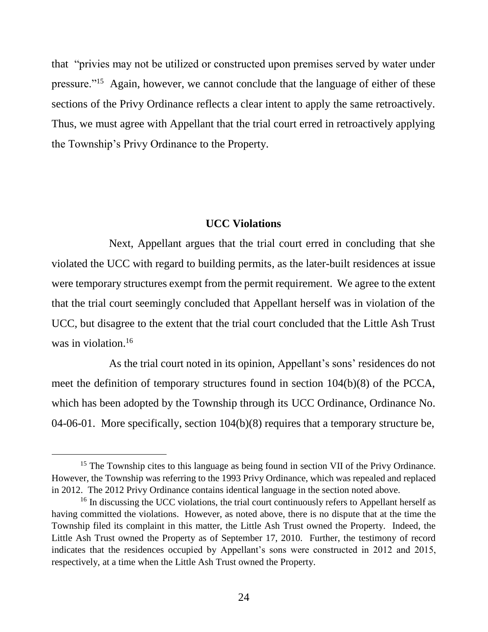that "privies may not be utilized or constructed upon premises served by water under pressure."<sup>15</sup> Again, however, we cannot conclude that the language of either of these sections of the Privy Ordinance reflects a clear intent to apply the same retroactively. Thus, we must agree with Appellant that the trial court erred in retroactively applying the Township's Privy Ordinance to the Property.

## **UCC Violations**

Next, Appellant argues that the trial court erred in concluding that she violated the UCC with regard to building permits, as the later-built residences at issue were temporary structures exempt from the permit requirement. We agree to the extent that the trial court seemingly concluded that Appellant herself was in violation of the UCC, but disagree to the extent that the trial court concluded that the Little Ash Trust was in violation. 16

As the trial court noted in its opinion, Appellant's sons' residences do not meet the definition of temporary structures found in section 104(b)(8) of the PCCA, which has been adopted by the Township through its UCC Ordinance, Ordinance No. 04-06-01. More specifically, section 104(b)(8) requires that a temporary structure be,

<sup>&</sup>lt;sup>15</sup> The Township cites to this language as being found in section VII of the Privy Ordinance. However, the Township was referring to the 1993 Privy Ordinance, which was repealed and replaced in 2012. The 2012 Privy Ordinance contains identical language in the section noted above.

<sup>&</sup>lt;sup>16</sup> In discussing the UCC violations, the trial court continuously refers to Appellant herself as having committed the violations. However, as noted above, there is no dispute that at the time the Township filed its complaint in this matter, the Little Ash Trust owned the Property. Indeed, the Little Ash Trust owned the Property as of September 17, 2010. Further, the testimony of record indicates that the residences occupied by Appellant's sons were constructed in 2012 and 2015, respectively, at a time when the Little Ash Trust owned the Property.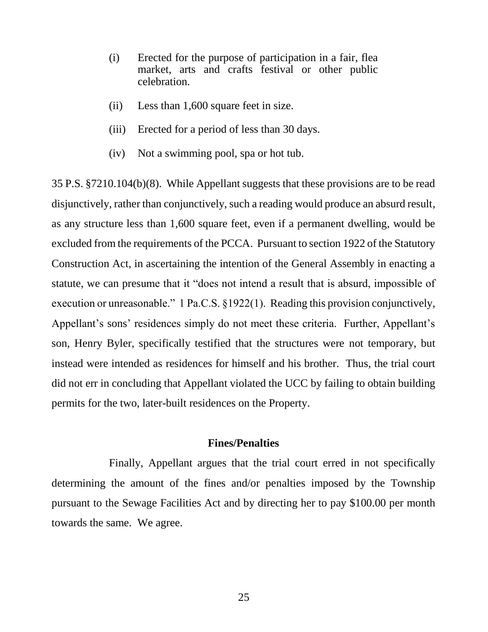- (i) Erected for the purpose of participation in a fair, flea market, arts and crafts festival or other public celebration.
- (ii) Less than 1,600 square feet in size.
- (iii) Erected for a period of less than 30 days.
- (iv) Not a swimming pool, spa or hot tub.

35 P.S. §7210.104(b)(8). While Appellant suggests that these provisions are to be read disjunctively, rather than conjunctively, such a reading would produce an absurd result, as any structure less than 1,600 square feet, even if a permanent dwelling, would be excluded from the requirements of the PCCA. Pursuant to section 1922 of the Statutory Construction Act, in ascertaining the intention of the General Assembly in enacting a statute, we can presume that it "does not intend a result that is absurd, impossible of execution or unreasonable." 1 Pa.C.S. §1922(1). Reading this provision conjunctively, Appellant's sons' residences simply do not meet these criteria. Further, Appellant's son, Henry Byler, specifically testified that the structures were not temporary, but instead were intended as residences for himself and his brother. Thus, the trial court did not err in concluding that Appellant violated the UCC by failing to obtain building permits for the two, later-built residences on the Property.

### **Fines/Penalties**

Finally, Appellant argues that the trial court erred in not specifically determining the amount of the fines and/or penalties imposed by the Township pursuant to the Sewage Facilities Act and by directing her to pay \$100.00 per month towards the same. We agree.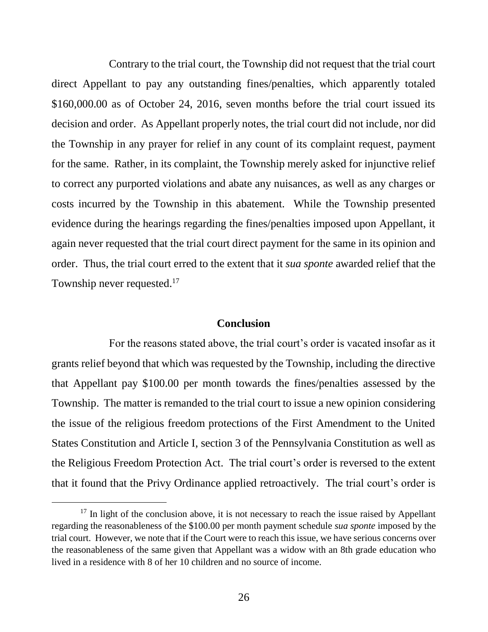Contrary to the trial court, the Township did not request that the trial court direct Appellant to pay any outstanding fines/penalties, which apparently totaled \$160,000.00 as of October 24, 2016, seven months before the trial court issued its decision and order. As Appellant properly notes, the trial court did not include, nor did the Township in any prayer for relief in any count of its complaint request, payment for the same. Rather, in its complaint, the Township merely asked for injunctive relief to correct any purported violations and abate any nuisances, as well as any charges or costs incurred by the Township in this abatement. While the Township presented evidence during the hearings regarding the fines/penalties imposed upon Appellant, it again never requested that the trial court direct payment for the same in its opinion and order. Thus, the trial court erred to the extent that it *sua sponte* awarded relief that the Township never requested.<sup>17</sup>

### **Conclusion**

For the reasons stated above, the trial court's order is vacated insofar as it grants relief beyond that which was requested by the Township, including the directive that Appellant pay \$100.00 per month towards the fines/penalties assessed by the Township. The matter is remanded to the trial court to issue a new opinion considering the issue of the religious freedom protections of the First Amendment to the United States Constitution and Article I, section 3 of the Pennsylvania Constitution as well as the Religious Freedom Protection Act. The trial court's order is reversed to the extent that it found that the Privy Ordinance applied retroactively. The trial court's order is

 $17$  In light of the conclusion above, it is not necessary to reach the issue raised by Appellant regarding the reasonableness of the \$100.00 per month payment schedule *sua sponte* imposed by the trial court. However, we note that if the Court were to reach this issue, we have serious concerns over the reasonableness of the same given that Appellant was a widow with an 8th grade education who lived in a residence with 8 of her 10 children and no source of income.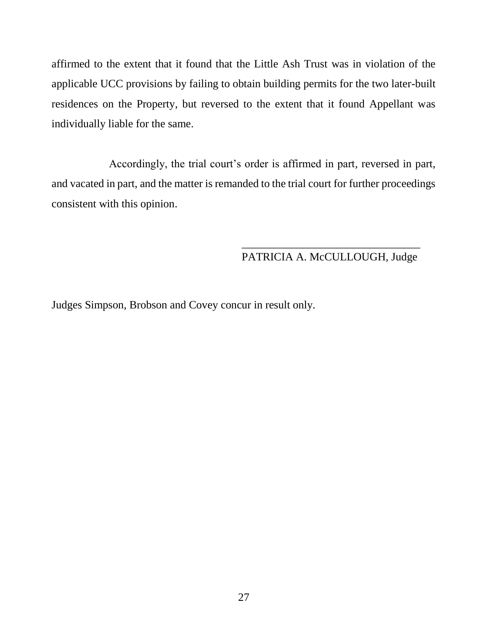affirmed to the extent that it found that the Little Ash Trust was in violation of the applicable UCC provisions by failing to obtain building permits for the two later-built residences on the Property, but reversed to the extent that it found Appellant was individually liable for the same.

Accordingly, the trial court's order is affirmed in part, reversed in part, and vacated in part, and the matter is remanded to the trial court for further proceedings consistent with this opinion.

# \_\_\_\_\_\_\_\_\_\_\_\_\_\_\_\_\_\_\_\_\_\_\_\_\_\_\_\_\_\_\_\_ PATRICIA A. McCULLOUGH, Judge

Judges Simpson, Brobson and Covey concur in result only.